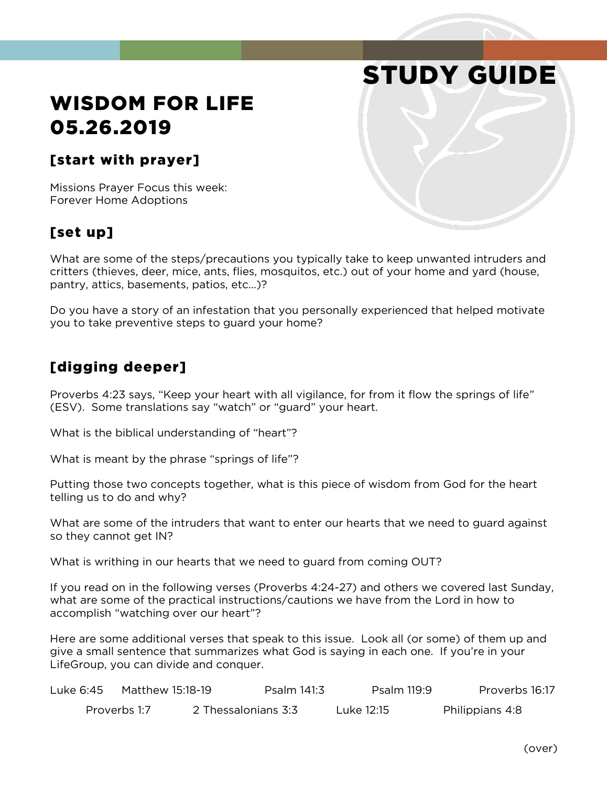# STUDY GUIDE

# WISDOM FOR LIFE 05.26.2019

#### [start with prayer]

Missions Prayer Focus this week: Forever Home Adoptions

### [set up]

What are some of the steps/precautions you typically take to keep unwanted intruders and critters (thieves, deer, mice, ants, flies, mosquitos, etc.) out of your home and yard (house, pantry, attics, basements, patios, etc...)?

Do you have a story of an infestation that you personally experienced that helped motivate you to take preventive steps to guard your home?

#### [digging deeper]

Proverbs 4:23 says, "Keep your heart with all vigilance, for from it flow the springs of life" (ESV). Some translations say "watch" or "guard" your heart.

What is the biblical understanding of "heart"?

What is meant by the phrase "springs of life"?

Putting those two concepts together, what is this piece of wisdom from God for the heart telling us to do and why?

What are some of the intruders that want to enter our hearts that we need to guard against so they cannot get IN?

What is writhing in our hearts that we need to guard from coming OUT?

If you read on in the following verses (Proverbs 4:24-27) and others we covered last Sunday, what are some of the practical instructions/cautions we have from the Lord in how to accomplish "watching over our heart"?

Here are some additional verses that speak to this issue. Look all (or some) of them up and give a small sentence that summarizes what God is saying in each one. If you're in your LifeGroup, you can divide and conquer.

| Luke 6:45 . | Matthew 15:18-19 |                     | Psalm 141:3 | Psalm 119:9 | Proverbs 16:17  |
|-------------|------------------|---------------------|-------------|-------------|-----------------|
|             | Proverbs 1:7     | 2 Thessalonians 3:3 |             | Luke 12:15  | Philippians 4:8 |